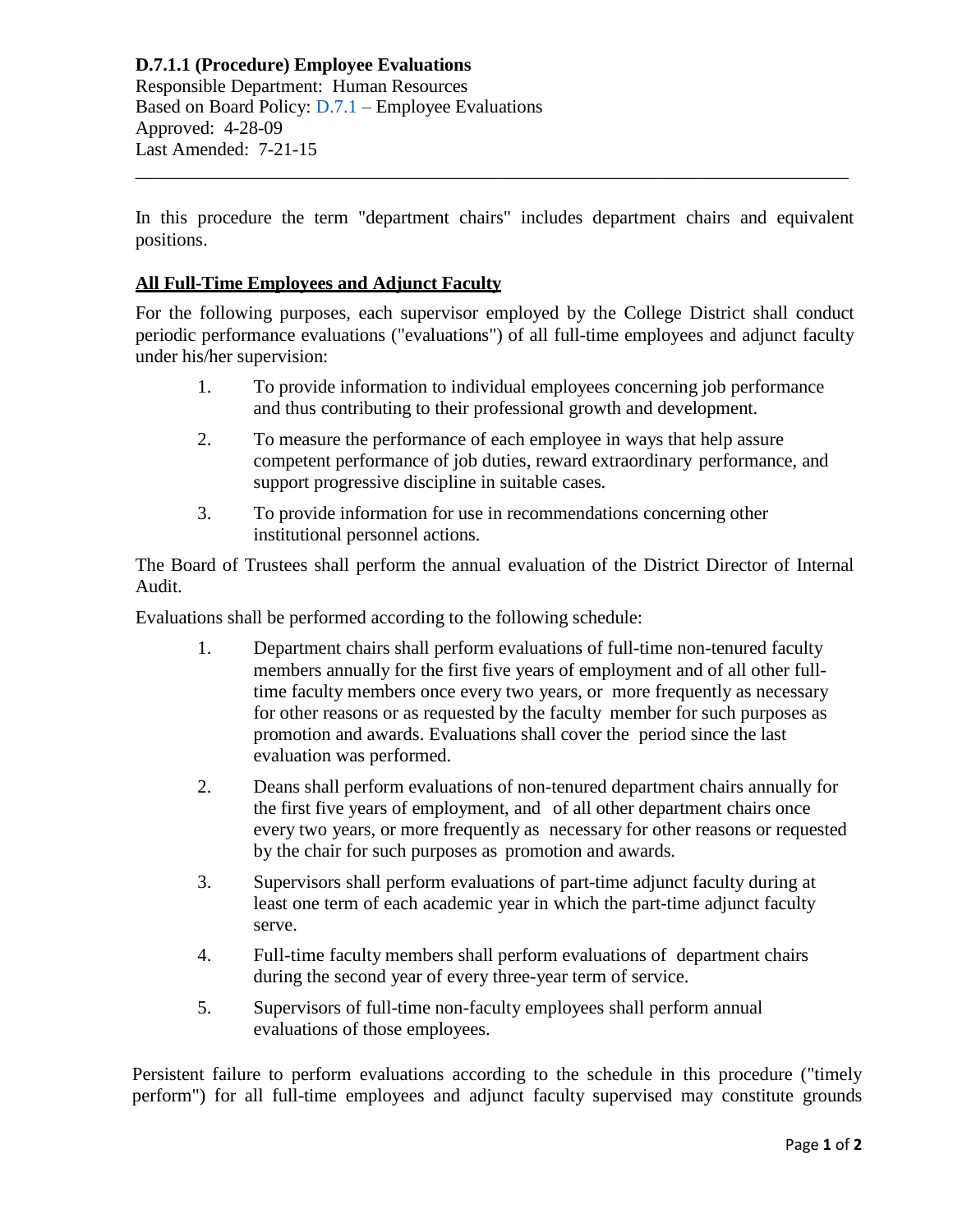**D.7.1.1 (Procedure) Employee Evaluations** Responsible Department: Human Resources Based on Board Policy: [D.7.1](https://www.alamo.edu/siteassets/district/about-us/leadership/board-of-trustees/policies-pdfs/section-d/d.7.1-policy.pdf) – Employee Evaluations Approved: 4-28-09 Last Amended: 7-21-15

In this procedure the term "department chairs" includes department chairs and equivalent positions.

\_\_\_\_\_\_\_\_\_\_\_\_\_\_\_\_\_\_\_\_\_\_\_\_\_\_\_\_\_\_\_\_\_\_\_\_\_\_\_\_\_\_\_\_\_\_\_\_\_\_\_\_\_\_\_\_\_\_\_\_\_\_\_\_\_\_\_\_\_\_\_\_\_\_\_\_\_

## **All Full-Time Employees and Adjunct Faculty**

For the following purposes, each supervisor employed by the College District shall conduct periodic performance evaluations ("evaluations") of all full-time employees and adjunct faculty under his/her supervision:

- 1. To provide information to individual employees concerning job performance and thus contributing to their professional growth and development.
- 2. To measure the performance of each employee in ways that help assure competent performance of job duties, reward extraordinary performance, and support progressive discipline in suitable cases.
- 3. To provide information for use in recommendations concerning other institutional personnel actions.

The Board of Trustees shall perform the annual evaluation of the District Director of Internal Audit.

Evaluations shall be performed according to the following schedule:

- 1. Department chairs shall perform evaluations of full-time non-tenured faculty members annually for the first five years of employment and of all other fulltime faculty members once every two years, or more frequently as necessary for other reasons or as requested by the faculty member for such purposes as promotion and awards. Evaluations shall cover the period since the last evaluation was performed.
- 2. Deans shall perform evaluations of non-tenured department chairs annually for the first five years of employment, and of all other department chairs once every two years, or more frequently as necessary for other reasons or requested by the chair for such purposes as promotion and awards.
- 3. Supervisors shall perform evaluations of part-time adjunct faculty during at least one term of each academic year in which the part-time adjunct faculty serve.
- 4. Full-time faculty members shall perform evaluations of department chairs during the second year of every three-year term of service.
- 5. Supervisors of full-time non-faculty employees shall perform annual evaluations of those employees.

Persistent failure to perform evaluations according to the schedule in this procedure ("timely perform") for all full-time employees and adjunct faculty supervised may constitute grounds